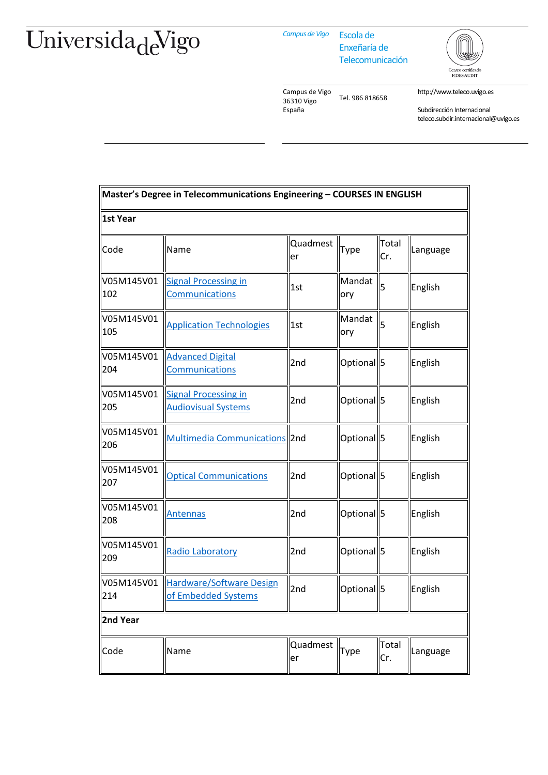## Universida<sub>de</sub>Vigo

*Campus de Vigo* Escola de

Enxeñaría de Telecomunicación



Campus de Vigo 36310 Vigo España Tel. 986 818658 http://www.teleco.uvigo.es

Subdirección Internacional teleco.subdir.internacional@uvigo.es

| Master's Degree in Telecommunications Engineering - COURSES IN ENGLISH |                                                               |                |                       |                |          |  |  |  |  |
|------------------------------------------------------------------------|---------------------------------------------------------------|----------------|-----------------------|----------------|----------|--|--|--|--|
| 1st Year                                                               |                                                               |                |                       |                |          |  |  |  |  |
| Code                                                                   | Name                                                          | Quadmest<br>er | Type                  | Total<br>Cr.   | Language |  |  |  |  |
| V05M145V01<br>102                                                      | <b>Signal Processing in</b><br><b>Communications</b>          | 1st            | Mandat<br>ory         | 5              | English  |  |  |  |  |
| V05M145V01<br>105                                                      | <b>Application Technologies</b>                               | 1st            | Mandat<br>ory         | $\overline{5}$ | English  |  |  |  |  |
| V05M145V01<br>204                                                      | <b>Advanced Digital</b><br><b>Communications</b>              | 2nd            | Optional <sup>5</sup> |                | English  |  |  |  |  |
| V05M145V01<br>205                                                      | <b>Signal Processing in</b><br><b>Audiovisual Systems</b>     | 2nd            | Optional <sup>5</sup> |                | English  |  |  |  |  |
| V05M145V01<br>206                                                      | <b>Multimedia Communications</b> 2nd                          |                | Optional 5            |                | English  |  |  |  |  |
| V05M145V01<br>207                                                      | <b>Optical Communications</b>                                 | 2nd            | Optional 5            |                | English  |  |  |  |  |
| V05M145V01<br>208                                                      | <b>Antennas</b>                                               | 2nd            | Optional <sup>5</sup> |                | English  |  |  |  |  |
| V05M145V01<br>209                                                      | Radio Laboratory                                              | 2nd            | Optional 5            |                | English  |  |  |  |  |
| V05M145V01<br>214                                                      | <b>Hardware/Software Design</b><br>of <b>Embedded Systems</b> | 2nd            | Optional 5            |                | English  |  |  |  |  |
| 2nd Year                                                               |                                                               |                |                       |                |          |  |  |  |  |
| Code                                                                   | Name                                                          | Quadmest<br>er | Type                  | Total<br>Cr.   | Language |  |  |  |  |